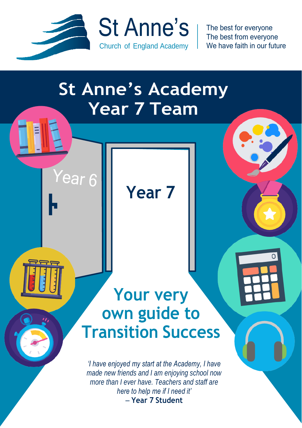

Year 6

The best for everyone The best from everyone We have faith in our future

### **St Anne's Academy Year 7 Team**

**Year 7**

### **Your very own guide to Transition Success**

*'I have enjoyed my start at the Academy, I have made new friends and I am enjoying school now more than I ever have. Teachers and staff are here to help me if I need it'* – **Year 7 Student**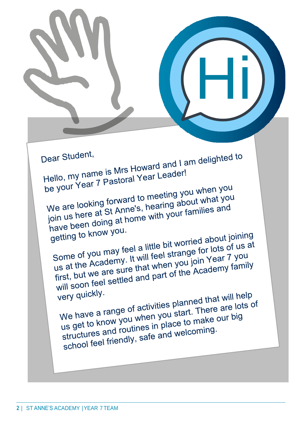Dear Student,

Dear Student,<br>Hello, my name is Mrs Howard and I am delighted to<br>Hello, my name is Mrs Howard and I am delighted to Hello, my name is Mrs Howard and T<br>be your Year 7 Pastoral Year Leader!

Hi

be your Year 7 Pastoral 11<br>We are looking forward to meeting you when you<br>We are looking forward to meeting about what you We are looking forward to meeting you when you<br>you are looking forward to meeting about what you<br>join us here at St Anne's, hearing about what you We are looking forward to hearing about what your<br>join us here at St Anne's, hearing about what you<br>have been doing at home with your families and<br>have been doing at home with your families and

have been dome<br>getting to know you.

getting to know you.<br>Some of you may feel a little bit worried about joining<br>Some of you may feel a little bit worried about joining at Some of you may feel a little bit worried about Johnn's<br>Some of you may feel a little bit worried about Johnn's<br>us at the Academy. It will feel strange for lots of us at<br>us at the Academy family Some of you may feel a little arrange for lots of use<br>us at the Academy. It will feel strange for lots of use<br>first, but we are sure that when you join Year 7 you<br>first, but we are sure that when you join Year 7 us at the Academy. It will lead and you join Year I you<br>first, but we are sure that when you join Year I you<br>will soon feel settled and part of the Academy family<br>will soon feel settled and part of the Academy

very quickly. will be very quickly.<br>We have a range of activities planned that will help<br>We have a range of activities planned that will help our big We have a range of activities planned that will have<br>we have a range of activities planned that will have<br>us get to know you when you start. There are lots of<br>use of the product of the coming. We have a range of astic you start. There are it us get to know you when you start. There are it used to make our big<br>us get to know you when you start. There our big<br>structures and routines in place to make our big us get to know youtines in place to make<br>structures and routines in place to make<br>school feel friendly, safe and welcoming.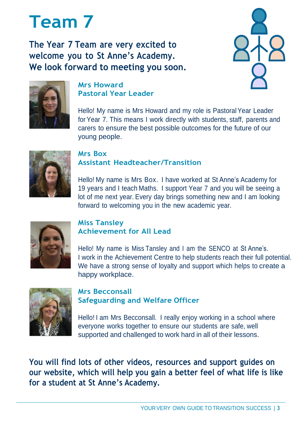### **Team 7**

**The Year 7 Team are very excited to welcome you to St Anne's Academy. We look forward to meeting you soon.**





#### **Mrs Howard Pastoral Year Leader**

Hello! My name is Mrs Howard and my role is PastoralYear Leader for Year 7. This means I work directly with students, staff, parents and carers to ensure the best possible outcomes for the future of our young people.



#### **Mrs Box Assistant Headteacher/Transition**

Hello! My name is Mrs Box. I have worked at St Anne's Academy for 19 years and I teach Maths. I support Year 7 and you will be seeing a lot of me next year. Every day brings something new and I am looking forward to welcoming you in the new academic year.



#### **Miss Tansley Achievement for All Lead**

Hello! My name is Miss Tansley and I am the SENCO at St Anne's. I work in the Achievement Centre to help students reach their full potential. We have a strong sense of loyalty and support which helps to create a happy workplace.



#### **Mrs Becconsall Safeguarding and Welfare Officer**

Hello! I am Mrs Becconsall. I really enjoy working in a school where everyone works together to ensure our students are safe, well supported and challenged to work hard in all of their lessons.

**You will find lots of other videos, resources and support guides on our website, which will help you gain a better feel of what life is like for a student at St Anne's Academy.**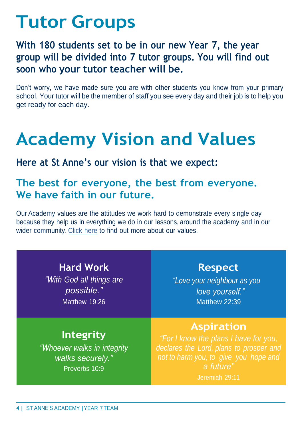### **Tutor Groups**

#### **With 180 students set to be in our new Year 7, the year group will be divided into 7 tutor groups. You will find out soon who your tutor teacher will be.**

Don't worry, we have made sure you are with other students you know from your primary school. Your tutor will be the member of staff you see every day and their job is to help you get ready for each day.

## **Academy Vision and Values**

#### **Here at St Anne's our vision is that we expect:**

#### **The best for everyone, the best from everyone. We have faith in our future.**

Our Academy values are the attitudes we work hard to demonstrate every single day because they help us in everything we do in our lessons, around the academy and in our wider community. [Click](https://stannesacademy.org.uk/) here to find out more about our values.

**Hard Work**

*"With God all things are possible."* Matthew 19:26

**Respect**

*"Love your neighbour as you love yourself."* Matthew 22:39

#### **Aspiration**

#### **Integrity**

*"Whoever walks in integrity walks securely."* Proverbs 10:9

*declares the Lord, plans to prosper and not to harm you, to give you hope and a future"*

Jeremiah 29:11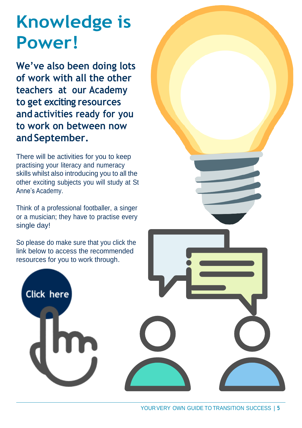## **Knowledge is Power!**

**We've also been doing lots of work with all the other teachers at our Academy to get exciting resources and activities ready for you to work on between now and September.**

There will be activities for you to keep practising your literacy and numeracy skills whilst also introducing you to all the other exciting subjects you will study at St Anne's Academy.

Think of a professional footballer, a singer or a musician; they have to practise every single day!

So please do make sure that you click the link below to access the recommended resources for you to work through.

Click here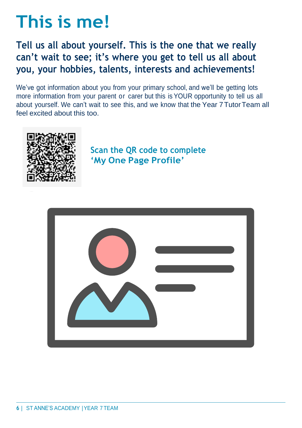## **This is me!**

#### **Tell us all about yourself. This is the one that we really can't wait to see; it's where you get to tell us all about you, your hobbies, talents, interests and achievements!**

We've got information about you from your primary school, and we'll be getting lots more information from your parent or carer but this is YOUR opportunity to tell us all about yourself. We can't wait to see this, and we know that the Year 7TutorTeam all feel excited about this too.



**Scan the QR code to complete 'My One Page Profile'**

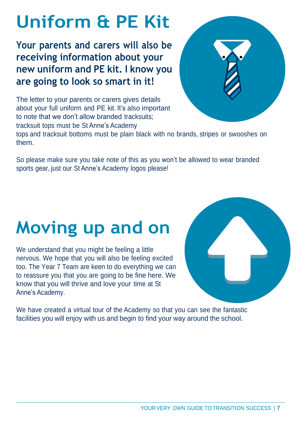# **Uniform & PE Kit**

**Your parents and carers will also be receiving information about your new uniform and PE kit. I know you are going to look so smart in it!**



The letter to your parents or carers gives details about your full uniform and PE kit. It's also important to note that we don't allow branded tracksuits; tracksuit tops must be St Anne's Academy

tops and tracksuit bottoms must be plain black with no brands, stripes or swooshes on them.

So please make sure you take note of this as you won't be allowed to wear branded sports gear, just our St Anne's Academy logos please!

# **Moving up and on**

We understand that you might be feeling a little nervous. We hope that you will also be feeling excited too. The Year 7 Team are keen to do everything we can to reassure you that you are going to be fine here. We know that you will thrive and love your time at St Anne's Academy.



We have created a virtual tour of the Academy so that you can see the fantastic facilities you will enjoy with us and begin to find your way around the school.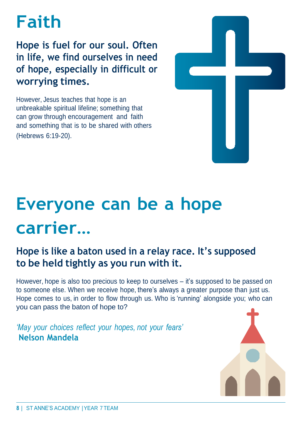## **Faith**

**Hope is fuel for our soul. Often in life, we find ourselves in need of hope, especially in difficult or worrying times.**

However, Jesus teaches that hope is an unbreakable spiritual lifeline; something that can grow through encouragement and faith and something that is to be shared with others (Hebrews 6:19-20).



# **Everyone can be a hope carrier…**

#### **Hope is like a baton used in a relay race. It's supposed to be held tightly as you run with it.**

However, hope is also too precious to keep to ourselves – it's supposed to be passed on to someone else. When we receive hope, there's always a greater purpose than just us. Hope comes to us, in order to flow through us. Who is 'running' alongside you; who can you can pass the baton of hope to?

*'May your choices reflect your hopes, not your fears'* **Nelson Mandela**

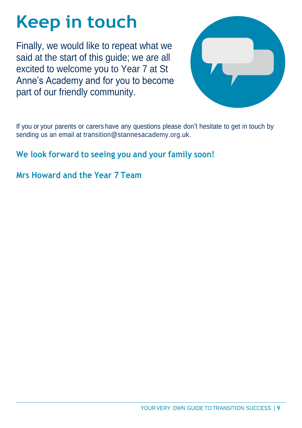# **Keep in touch**

Finally, we would like to repeat what we said at the start of this guide; we are all excited to welcome you to Year 7 at St Anne's Academy and for you to become part of our friendly community.



If you or your parents or carers have any questions please don't hesitate to get in touch by sending us an email at transition@stannesacademy.org.uk.

#### **We look forward to seeing you and your family soon!**

#### **Mrs Howard and the Year 7 Team**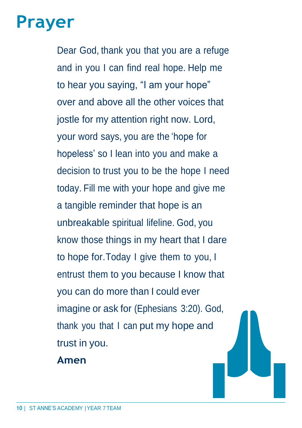### **Prayer**

Dear God, thank you that you are a refuge and in you I can find real hope. Help me to hear you saying, "I am your hope" over and above all the other voices that jostle for my attention right now. Lord, your word says, you are the 'hope for hopeless' so I lean into you and make a decision to trust you to be the hope I need today. Fill me with your hope and give me a tangible reminder that hope is an unbreakable spiritual lifeline. God, you know those things in my heart that I dare to hope for. Today I give them to you, I entrust them to you because I know that you can do more than I could ever imagine or ask for (Ephesians 3:20). God, thank you that I can put my hope and trust in you.

**Amen**